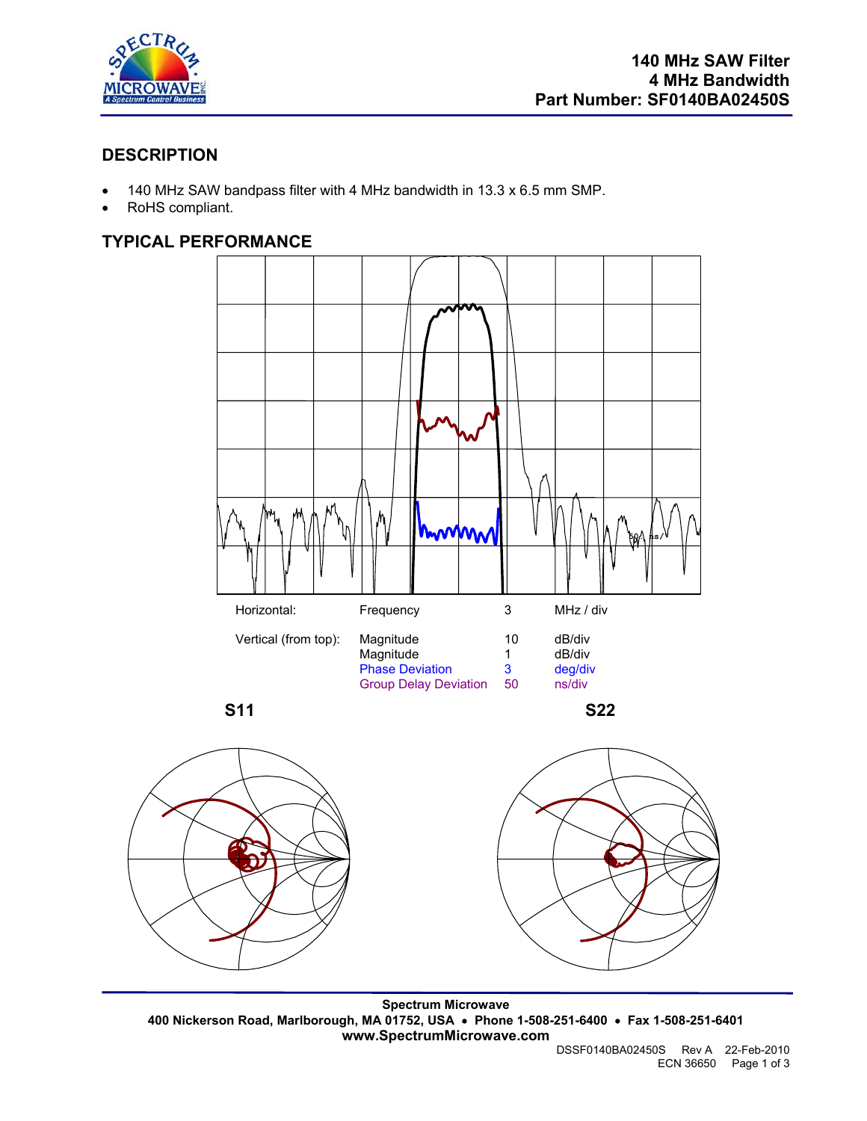

# **DESCRIPTION**

- 140 MHz SAW bandpass filter with 4 MHz bandwidth in 13.3 x 6.5 mm SMP.
- RoHS compliant.

## **TYPICAL PERFORMANCE**





**Spectrum Microwave 400 Nickerson Road, Marlborough, MA 01752, USA** • **Phone 1-508-251-6400** • **Fax 1-508-251-6401 www.SpectrumMicrowave.com** 

DSSF0140BA02450S Rev A 22-Feb-2010 ECN 36650 Page 1 of 3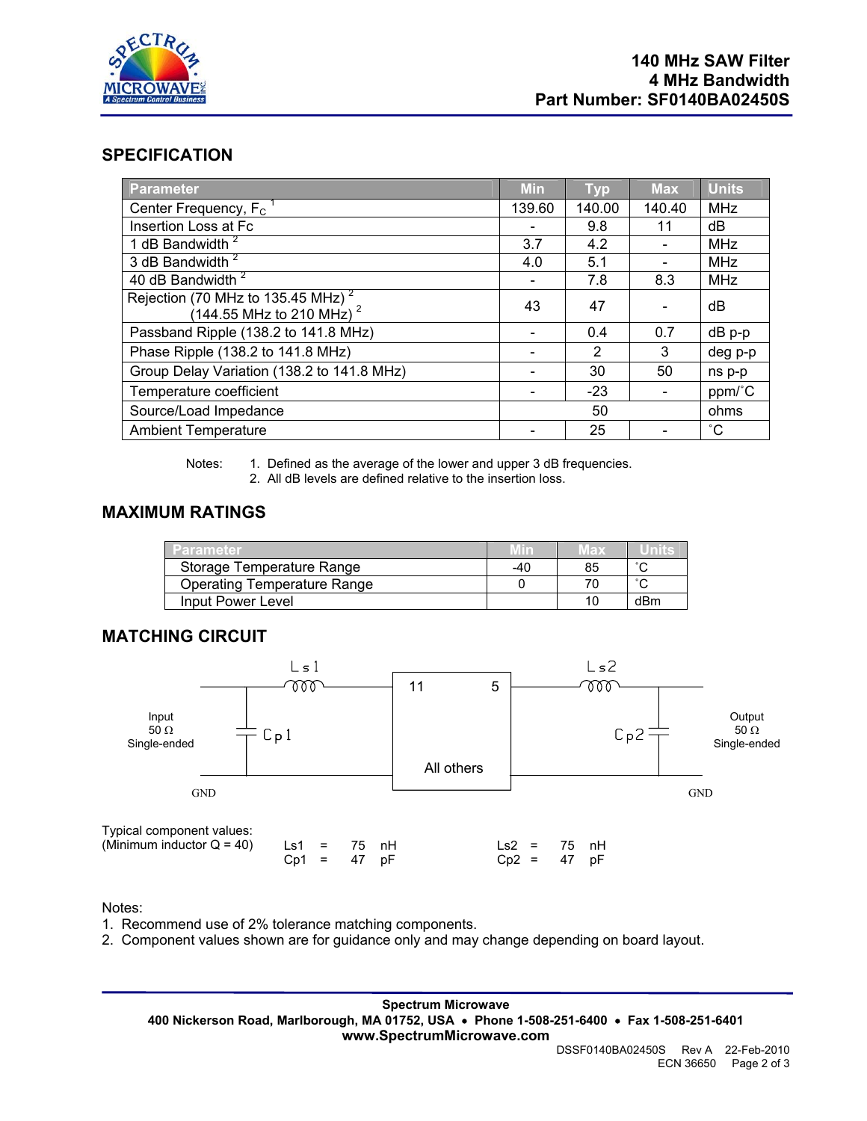

## **SPECIFICATION**

| <b>Parameter</b>                                                                              | <b>Min</b> | <b>Typ</b> | <b>Max</b> | <b>Units</b> |
|-----------------------------------------------------------------------------------------------|------------|------------|------------|--------------|
| Center Frequency, F <sub>c</sub>                                                              | 139.60     | 140.00     | 140.40     | <b>MHz</b>   |
| Insertion Loss at Fc                                                                          |            | 9.8        | 11         | dB           |
| 1 dB Bandwidth <sup>2</sup>                                                                   | 3.7        | 4.2        |            | <b>MHz</b>   |
| 3 dB Bandwidth <sup>2</sup>                                                                   | 4.0        | 5.1        |            | MHz          |
| 40 dB Bandwidth <sup>2</sup>                                                                  |            | 7.8        | 8.3        | <b>MHz</b>   |
| Rejection (70 MHz to 135.45 MHz) <sup>2</sup><br>$(144.55 \text{ MHz to } 210 \text{ MHz})^2$ | 43         | 47         |            | dB           |
| Passband Ripple (138.2 to 141.8 MHz)                                                          |            | 0.4        | 0.7        | dB p-p       |
| Phase Ripple (138.2 to 141.8 MHz)                                                             |            | 2          | 3          | deg p-p      |
| Group Delay Variation (138.2 to 141.8 MHz)                                                    |            | 30         | 50         | ns p-p       |
| Temperature coefficient                                                                       |            | $-23$      |            | ppm/°C       |
| Source/Load Impedance                                                                         |            | 50         |            | ohms         |
| <b>Ambient Temperature</b>                                                                    |            | 25         |            | $^{\circ}$ C |

Notes: 1. Defined as the average of the lower and upper 3 dB frequencies.

2. All dB levels are defined relative to the insertion loss.

#### **MAXIMUM RATINGS**

| Parameter                          |     | Max |     |
|------------------------------------|-----|-----|-----|
| Storage Temperature Range          | -40 |     |     |
| <b>Operating Temperature Range</b> |     |     |     |
| Input Power Level                  |     |     | dBm |

#### **MATCHING CIRCUIT**



Notes:

- 1. Recommend use of 2% tolerance matching components.
- 2. Component values shown are for guidance only and may change depending on board layout.

**Spectrum Microwave 400 Nickerson Road, Marlborough, MA 01752, USA** • **Phone 1-508-251-6400** • **Fax 1-508-251-6401 www.SpectrumMicrowave.com**